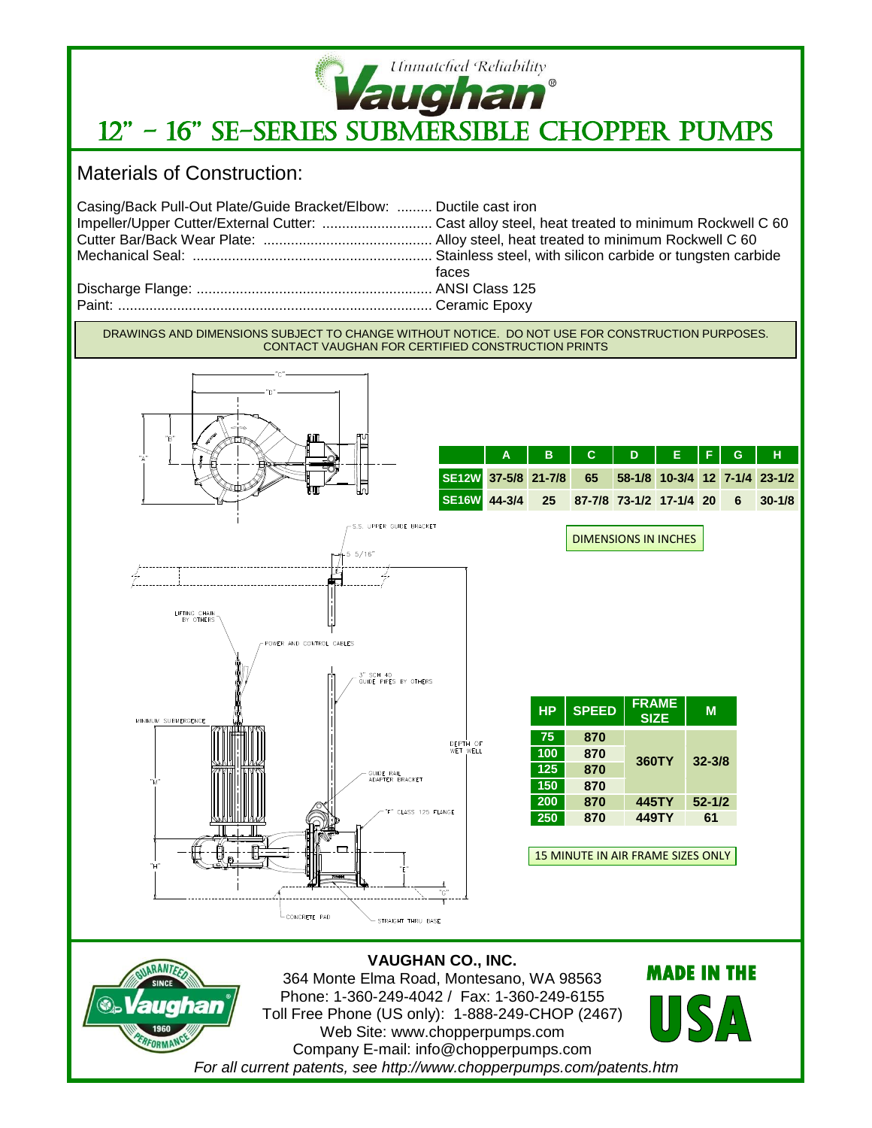

## **Vaughan**<br>12" - 16" SE-SERIES SUBMERSIBLE CHOPPER PUMPS

Materials of Construction:

| Casing/Back Pull-Out Plate/Guide Bracket/Elbow:  Ductile cast iron |       |
|--------------------------------------------------------------------|-------|
|                                                                    |       |
|                                                                    |       |
|                                                                    |       |
|                                                                    | faces |
|                                                                    |       |
|                                                                    |       |

DRAWINGS AND DIMENSIONS SUBJECT TO CHANGE WITHOUT NOTICE. DO NOT USE FOR CONSTRUCTION PURPOSES. CONTACT VAUGHAN FOR CERTIFIED CONSTRUCTION PRINTS